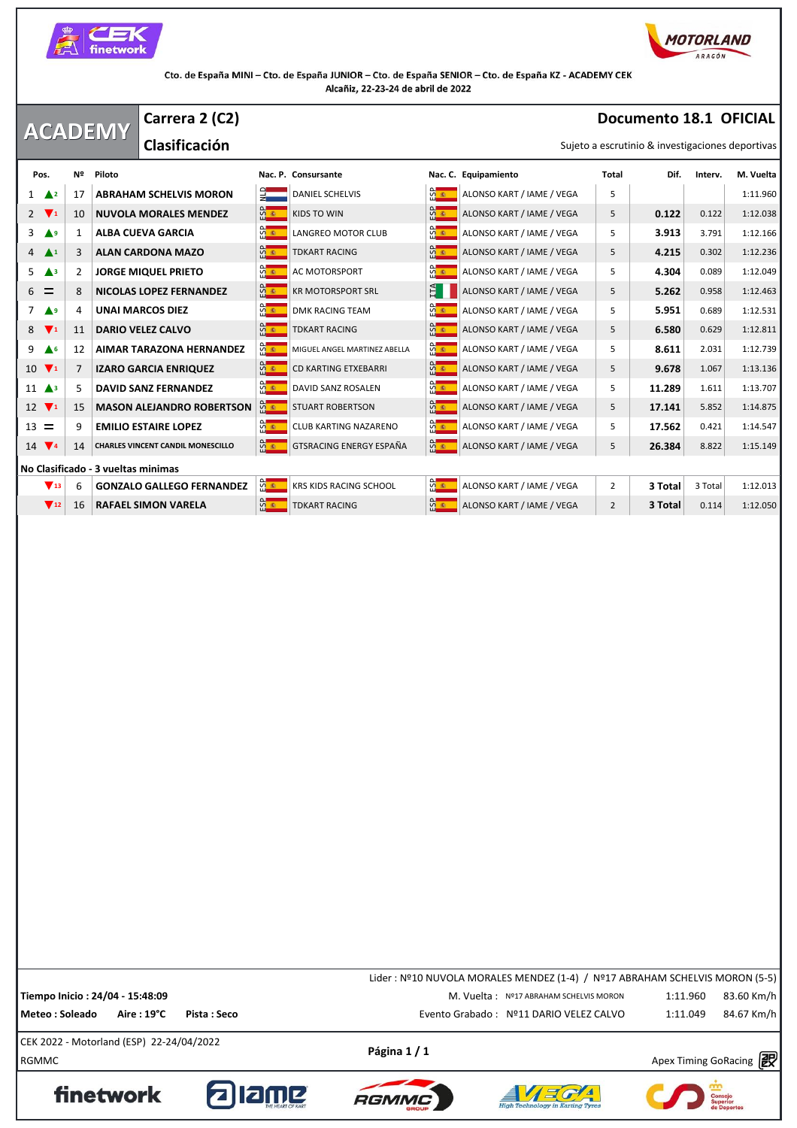



## **ACADEMY Documento 18.1 OFICIAL** Sujeto a escrutinio & investigaciones deportivas **Carrera 2 (C2) Clasificación Pos.** Nº Piloto Nac. P. Consursante Nac. C. Equipamiento Nac. C. Equipamiento Nac. 2 Prictipal Dif. Interv. M. Vuelta<br>Pos. Nº Piloto Nac. P. Consursante Nac. C. Equipamiento Total Dif. Interv. M. Vuelta 1 **A**<sup>2</sup> 17 **ABRAHAM SCHELVIS MORON DENTIFYING SCHELVIS REAL ALONSO KART / IAME / VEGA** 5 1:11.960 **2 1** 10 **NUVOLA MORALES MENDEZ ALONSO KART / IAME / VEGA** 5 **0.122** 0.122 1:12.038 3 **A** 9 1 **ALBA CUEVA GARCIA B ALONSO KART** ALONSO KART / IAME / VEGA 5 **3.913** 3.791 1:12.166 **4 3 ALAN CARDONA MAZO ALONSO ART ALONSO KART / IAME / VEGA** 5 **4.215** 0.302 1:12.236 5 **△**3 2 **JORGE MIQUEL PRIETO**  $\frac{6}{10}$  AC MOTORSPORT  $\frac{6}{10}$  alonso kart / IAME / VEGA 5 4.304 0.089 1:12.049 6 **E** 8 **NICOLAS LOPEZ FERNANDEZ CONSEX CRIMING WALLET SERVICES ALONSO KART / IAME / VEGA 5 5.262 0.958 1:12.463** 7 **<sup>9</sup>** 4 **UNAI MARCOS DIEZ** DMK RACING TEAM ALONSO KART / IAME / VEGA 5 **5.951** 0.689 1:12.531 **8 <b>1** 11 **DARIO VELEZ CALVO CONSUMERT ALONSO KART ALONSO KART / IAME / VEGA 5 <b>6.580** 0.629 1:12.811 **9 A** 6 **12 AIMAR TARAZONA HERNANDEZ MEAREL MUGUEL ANGEL MARTINEZ ABELLA** MEARE ALONSO KART / IAME / VEGA 5 **8.611** 2.031 1:12.739 10 **1** 7 **IZARO GARCIA ENRIQUEZ CD KARTING ETXEBARRI <b>ALONSO KART / IAME / VEGA** 5 **9.678** 1.067 1:13.136 11 **4** 5 **DAVID SANZ FERNANDEZ B DAVID SANZ ROSALEN** B **B ALONSO KART / IAME / VEGA** 5 **11.289** 1.611 1:13.707<br>12 **7** 15 **MASON ALEJANDRO ROBERTSON B E** STUART ROBERTSON **B C ALONSO KART / IAME / VEGA** 5 **17.** 12 **1** 15 **MASON ALEJANDRO ROBERTSON <b>G 1** STUART ROBERTSON **ALONSO KART** / IAME / VEGA 5 **17.141** 5.852 1:14.875 13 **EMILIO ESTAIRE LOPEZ ALLE ALONSO KARTING NAZARENO ALONSO KART / IAME / VEGA** 5 **17.562** 0.421 1:14.547 14 **14 14 CHARLES VINCENT CANDIL MONESCILLO GTER** GTSRACING ENERGY ESPAÑA **CONSO ART / IAME / VEGA** 5 **26.384** 8.822 1:15.149 **No Clasificado - 3 vueltas minimas 13** 6 **GONZALO GALLEGO FERNANDEZ RESTRIES AND STACING SCHOOL RESERVED ALONSO KART / IAME / VEGA** 2 **3 Total** 3 Total 1:12.013 **12 16 RAFAEL SIMON VARELA ALONSO KART ALONSO KART / IAME / VEGA** 2 **3 Total** 0.114 1:12.050

 $P\text{ágina 1 / 1}$ <br>RGMMC Apex Timing GoRacing  $\mathbb{R}^3$ CEK 2022 - Motorland (ESP) 22-24/04/2022 Lider : Nº10 NUVOLA MORALES MENDEZ (1-4) / Nº17 ABRAHAM SCHELVIS MORON (5-5) **Tiempo Inicio : 24/04 - 15:48:09** M. Vuelta : Nº17 ABRAHAM SCHELVIS MORON 1:11.960 83.60 Km/h **Meteo : Soleado Aire : 19°C Pista : Seco** Evento Grabado : Nº11 DARIO VELEZ CALVO 84.67 Km/h1:11.049









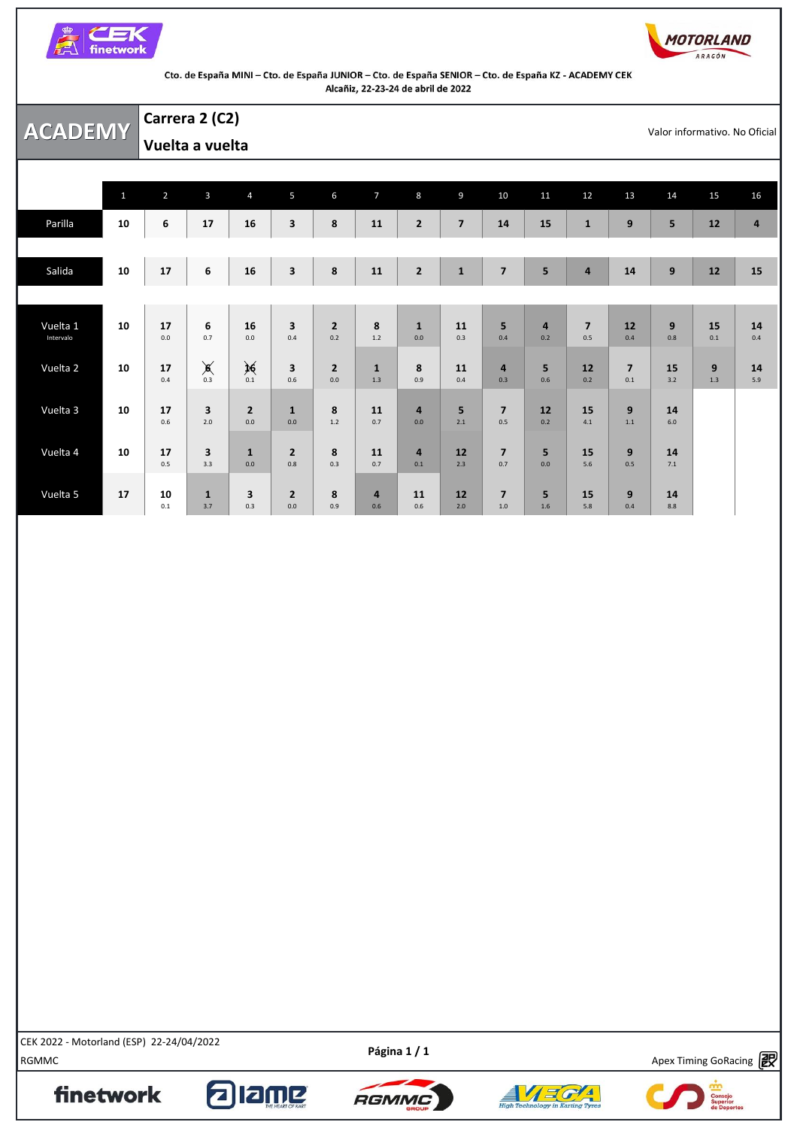



|                       |              | Carrera 2 (C2)  |                    |                                |                                |                       |                       |                       |                |                                |                       |                         |                         |                  |           |                               |
|-----------------------|--------------|-----------------|--------------------|--------------------------------|--------------------------------|-----------------------|-----------------------|-----------------------|----------------|--------------------------------|-----------------------|-------------------------|-------------------------|------------------|-----------|-------------------------------|
| <b>ACADEMY</b>        |              | Vuelta a vuelta |                    |                                |                                |                       |                       |                       |                |                                |                       |                         |                         |                  |           | Valor informativo. No Oficial |
|                       |              |                 |                    |                                |                                |                       |                       |                       |                |                                |                       |                         |                         |                  |           |                               |
|                       | $\mathbf{1}$ | $\overline{2}$  | $\overline{3}$     | $\overline{4}$                 | 5                              | 6                     | $\overline{7}$        | $8\phantom{1}$        | 9              | 10                             | 11                    | 12                      | 13                      | 14               | 15        | 16                            |
| Parilla               | 10           | 6               | 17                 | 16                             | 3                              | 8                     | 11                    | $\overline{2}$        | $\overline{7}$ | 14                             | 15                    | $\mathbf 1$             | 9                       | 5                | 12        | $\overline{a}$                |
|                       |              |                 |                    |                                |                                |                       |                       |                       |                |                                |                       |                         |                         |                  |           |                               |
| Salida                | 10           | 17              | 6                  | 16                             | $\overline{\mathbf{3}}$        | 8                     | 11                    | $\overline{2}$        | $\mathbf{1}$   | $\overline{\mathbf{z}}$        | 5                     | $\overline{\mathbf{4}}$ | 14                      | $\boldsymbol{9}$ | $12$      | 15                            |
|                       |              |                 |                    |                                |                                |                       |                       |                       |                |                                |                       |                         |                         |                  |           |                               |
| Vuelta 1<br>Intervalo | 10           | 17<br>0.0       | 6<br>0.7           | 16<br>0.0                      | $\overline{\mathbf{3}}$<br>0.4 | $\overline{2}$<br>0.2 | 8<br>$1.2$            | $\mathbf{1}$<br>0.0   | 11<br>0.3      | 5<br>0.4                       | $\overline{a}$<br>0.2 | $\overline{7}$<br>0.5   | 12<br>0.4               | 9<br>0.8         | 15<br>0.1 | 14<br>0.4                     |
|                       |              |                 |                    |                                |                                |                       |                       |                       |                |                                |                       |                         |                         |                  |           |                               |
| Vuelta 2              | 10           | 17<br>0.4       | $\sum_{0.3}$       | $\sum_{0.1}$                   | 3<br>0.6                       | $\overline{2}$<br>0.0 | $\mathbf{1}$<br>1.3   | 8<br>0.9              | 11<br>0.4      | $\overline{\mathbf{4}}$<br>0.3 | 5<br>0.6              | 12<br>0.2               | $\overline{7}$<br>0.1   | 15<br>3.2        | 9<br>1.3  | 14<br>5.9                     |
| Vuelta 3              | 10           | 17              | 3                  | $\overline{2}$                 | $\mathbf{1}$                   | 8                     | 11                    | 4                     | 5              | $\overline{7}$                 | 12                    | 15                      | 9                       | 14               |           |                               |
|                       |              | 0.6             | 2.0                | $0.0\,$                        | $0.0\,$                        | $1.2\,$               | 0.7                   | 0.0                   | 2.1            | 0.5                            | 0.2                   | 4.1                     | 1.1                     | $6.0$            |           |                               |
| Vuelta 4              | 10           | 17<br>0.5       | 3<br>3.3           | $\mathbf{1}$<br>0.0            | $\overline{2}$<br>0.8          | 8<br>0.3              | 11<br>0.7             | $\overline{a}$<br>0.1 | 12<br>2.3      | $\overline{\mathbf{z}}$<br>0.7 | 5<br>0.0              | 15<br>5.6               | 9<br>0.5                | 14<br>7.1        |           |                               |
|                       |              |                 |                    |                                |                                |                       |                       |                       |                |                                |                       |                         |                         |                  |           |                               |
| Vuelta 5              | 17           | 10<br>0.1       | $\mathbf 1$<br>3.7 | $\overline{\mathbf{3}}$<br>0.3 | $\overline{\mathbf{2}}$<br>0.0 | 8<br>0.9              | $\overline{a}$<br>0.6 | 11<br>0.6             | 12<br>2.0      | $\overline{7}$<br>$1.0$        | 5<br>1.6              | 15<br>5.8               | $\boldsymbol{9}$<br>0.4 | 14<br>8.8        |           |                               |

EEN 2022 - MOLOHAINI (ESP) 22-24/04/2022<br>RGMMC Apex Timing GoRacing **PO** CEK 2022 - Motorland (ESP) 22-24/04/2022

finetwork

Apex Timing - drive your success https://www.apex-timing.com/

alang





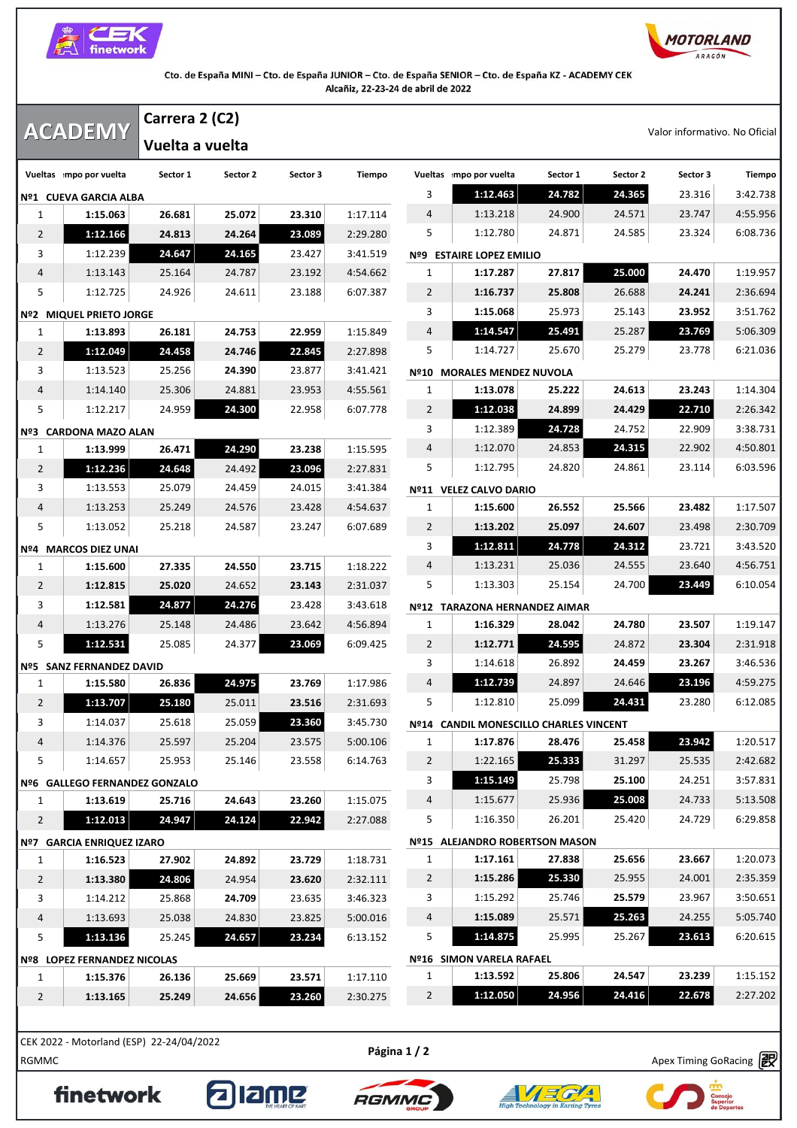



|                      |                                                  |                  |                  |                                                    |                |                      |                  |                  | Carrera 2 (C2)   | <b>ACADEMY</b>                            |                |  |  |
|----------------------|--------------------------------------------------|------------------|------------------|----------------------------------------------------|----------------|----------------------|------------------|------------------|------------------|-------------------------------------------|----------------|--|--|
|                      | Valor informativo. No Oficial<br>Vuelta a vuelta |                  |                  |                                                    |                |                      |                  |                  |                  |                                           |                |  |  |
| Tiempo               | Sector 3                                         | Sector 2         | Sector 1         | Vueltas mpo por vuelta                             |                | Tiempo               | Sector 3         | Sector 2         | Sector 1         | Vueltas mpo por vuelta                    |                |  |  |
| 3:42.738             | 23.316                                           | 24.365           | 24.782           | 1:12.463                                           | 3              |                      |                  |                  |                  | Nº1 CUEVA GARCIA ALBA                     |                |  |  |
| 4:55.956             | 23.747                                           | 24.571           | 24.900           | 1:13.218                                           | 4              | 1:17.114             | 23.310           | 25.072           | 26.681           | 1:15.063                                  | 1              |  |  |
| 6:08.736             | 23.324                                           | 24.585           | 24.871           | 1:12.780                                           | 5              | 2:29.280             | 23.089           | 24.264           | 24.813           | 1:12.166                                  | 2              |  |  |
|                      |                                                  |                  |                  | <b>ESTAIRE LOPEZ EMILIO</b>                        | Nº9            | 3:41.519             | 23.427           | 24.165           | 24.647           | 1:12.239                                  | 3              |  |  |
| 1:19.957             | 24.470                                           | 25.000           | 27.817           | 1:17.287                                           | 1              | 4:54.662             | 23.192           | 24.787           | 25.164           | 1:13.143                                  | 4              |  |  |
| 2:36.694             | 24.241                                           | 26.688           | 25.808           | 1:16.737                                           | $\overline{2}$ | 6:07.387             | 23.188           | 24.611           | 24.926           | 1:12.725                                  | 5              |  |  |
| 3:51.762             | 23.952                                           | 25.143           | 25.973           | 1:15.068                                           | 3              |                      |                  |                  |                  | Nº2 MIQUEL PRIETO JORGE                   |                |  |  |
| 5:06.309             | 23.769                                           | 25.287           | 25.491           | 1:14.547                                           | 4              | 1:15.849             | 22.959           | 24.753           | 26.181           | 1:13.893                                  | 1              |  |  |
| 6:21.036             | 23.778                                           | 25.279           | 25.670           | 1:14.727                                           | 5              | 2:27.898             | 22.845           | 24.746           | 24.458           | 1:12.049                                  | 2              |  |  |
|                      |                                                  |                  |                  | Nº10 MORALES MENDEZ NUVOLA                         |                | 3:41.421             | 23.877           | 24.390           | 25.256           | 1:13.523                                  | 3              |  |  |
| 1:14.304             | 23.243                                           | 24.613           | 25.222           | 1:13.078                                           | 1              | 4:55.561             | 23.953           | 24.881           | 25.306           | 1:14.140                                  | 4              |  |  |
| 2:26.342             | 22.710                                           | 24.429           | 24.899           | 1:12.038                                           | $\overline{2}$ | 6:07.778             | 22.958           | 24.300           | 24.959           | 1:12.217                                  | 5              |  |  |
| 3:38.731             | 22.909                                           | 24.752           | 24.728           | 1:12.389                                           | 3              |                      |                  |                  |                  | Nº3 CARDONA MAZO ALAN                     |                |  |  |
| 4:50.801             | 22.902                                           | 24.315           | 24.853           | 1:12.070                                           | 4              | 1:15.595             | 23.238           | 24.290           | 26.471           | 1:13.999                                  | 1              |  |  |
| 6:03.596             | 23.114                                           | 24.861           | 24.820           | 1:12.795                                           | 5              | 2:27.831             | 23.096           | 24.492           | 24.648           | 1:12.236                                  | 2              |  |  |
|                      |                                                  |                  |                  | Nº11 VELEZ CALVO DARIO                             |                | 3:41.384             | 24.015           | 24.459           | 25.079           | 1:13.553                                  | 3              |  |  |
| 1:17.507             | 23.482                                           | 25.566           | 26.552           | 1:15.600                                           | 1              | 4:54.637             | 23.428           | 24.576           | 25.249           | 1:13.253                                  | 4              |  |  |
| 2:30.709             | 23.498                                           | 24.607           | 25.097           | 1:13.202                                           | $\overline{2}$ | 6:07.689             | 23.247           | 24.587           | 25.218           | 1:13.052                                  | 5              |  |  |
| 3:43.520             | 23.721                                           | 24.312           | 24.778           | 1:12.811                                           | 3              |                      |                  |                  |                  | Nº4 MARCOS DIEZ UNAI                      |                |  |  |
| 4:56.751             | 23.640                                           | 24.555           | 25.036           | 1:13.231                                           | 4              | 1:18.222             | 23.715           | 24.550           | 27.335           | 1:15.600                                  | 1              |  |  |
| 6:10.054             | 23.449                                           | 24.700           | 25.154           | 1:13.303                                           | 5              | 2:31.037             | 23.143           | 24.652           | 25.020           | 1:12.815                                  | 2              |  |  |
|                      |                                                  |                  |                  | Nº12 TARAZONA HERNANDEZ AIMAR                      |                | 3:43.618             | 23.428           | 24.276           | 24.877           | 1:12.581                                  | 3              |  |  |
| 1:19.147             | 23.507                                           | 24.780           | 28.042           | 1:16.329                                           | 1              | 4:56.894             | 23.642           | 24.486           | 25.148           | 1:13.276                                  | 4              |  |  |
| 2:31.918             | 23.304                                           | 24.872           | 24.595           | 1:12.771                                           | $\overline{2}$ | 6:09.425             | 23.069           | 24.377           | 25.085           | 1:12.531                                  | 5              |  |  |
| 3:46.536             | 23.267                                           | 24.459           | 26.892           | 1:14.618                                           | 3              |                      |                  |                  |                  | Nº5 SANZ FERNANDEZ DAVID                  |                |  |  |
| 4:59.275<br>6:12.085 | 23.196<br>23.280                                 | 24.646<br>24.431 | 24.897<br>25.099 | 1:12.739<br>1:12.810                               | 4<br>5         | 1:17.986<br>2:31.693 | 23.769           | 24.975           | 26.836<br>25.180 | 1:15.580<br>1:13.707                      | 1              |  |  |
|                      |                                                  |                  |                  |                                                    |                |                      | 23.516<br>23.360 | 25.011<br>25.059 |                  |                                           | $\overline{2}$ |  |  |
| 1:20.517             | 23.942                                           | 25.458           | 28.476           | Nº14 CANDIL MONESCILLO CHARLES VINCENT<br>1:17.876 | $\mathbf{1}$   | 3:45.730<br>5:00.106 | 23.575           | 25.204           | 25.618<br>25.597 | 1:14.037<br>1:14.376                      | 3<br>4         |  |  |
| 2:42.682             | 25.535                                           | 31.297           | 25.333           | 1:22.165                                           | $\overline{2}$ | 6:14.763             | 23.558           | 25.146           | 25.953           | 1:14.657                                  | 5              |  |  |
| 3:57.831             | 24.251                                           | 25.100           | 25.798           | 1:15.149                                           | 3              |                      |                  |                  |                  |                                           |                |  |  |
| 5:13.508             | 24.733                                           | 25.008           | 25.936           | 1:15.677                                           | 4              | 1:15.075             | 23.260           | 24.643           | 25.716           | Nº6 GALLEGO FERNANDEZ GONZALO<br>1:13.619 | 1              |  |  |
| 6:29.858             | 24.729                                           | 25.420           | 26.201           | 1:16.350                                           | 5              | 2:27.088             | 22.942           | 24.124           | 24.947           | 1:12.013                                  | $\overline{2}$ |  |  |
|                      |                                                  |                  |                  | Nº15 ALEJANDRO ROBERTSON MASON                     |                |                      |                  |                  |                  | Nº7 GARCIA ENRIQUEZ IZARO                 |                |  |  |
| 1:20.073             | 23.667                                           | 25.656           | 27.838           | 1:17.161                                           | 1              | 1:18.731             | 23.729           | 24.892           | 27.902           | 1:16.523                                  | $\mathbf{1}$   |  |  |
| 2:35.359             | 24.001                                           | 25.955           | 25.330           | 1:15.286                                           | $\overline{2}$ | 2:32.111             | 23.620           | 24.954           | 24.806           | 1:13.380                                  | $\overline{2}$ |  |  |
| 3:50.651             | 23.967                                           | 25.579           | 25.746           | 1:15.292                                           | 3              | 3:46.323             | 23.635           | 24.709           | 25.868           | 1:14.212                                  | 3              |  |  |
| 5:05.740             | 24.255                                           | 25.263           | 25.571           | 1:15.089                                           | 4              | 5:00.016             | 23.825           | 24.830           | 25.038           | 1:13.693                                  | 4              |  |  |
| 6:20.615             | 23.613                                           | 25.267           | 25.995           | 1:14.875                                           | 5              | 6:13.152             | 23.234           | 24.657           | 25.245           | 1:13.136                                  | 5              |  |  |
|                      |                                                  |                  |                  | Nº16 SIMON VARELA RAFAEL                           |                |                      |                  |                  |                  | Nº8 LOPEZ FERNANDEZ NICOLAS               |                |  |  |
| 1:15.152             | 23.239                                           | 24.547           | 25.806           | 1:13.592                                           | $\mathbf{1}$   | 1:17.110             | 23.571           | 25.669           | 26.136           | 1:15.376                                  | 1              |  |  |
|                      | 22.678                                           | 24.416           | 24.956           | 1:12.050                                           | $\overline{2}$ | 2:30.275             | 23.260           | 24.656           | 25.249           | 1:13.165                                  | $\overline{2}$ |  |  |

RGMMC Apex Timing GoRacing CEK 2022 - Motorland (ESP) 22-24/04/2022

finetwork







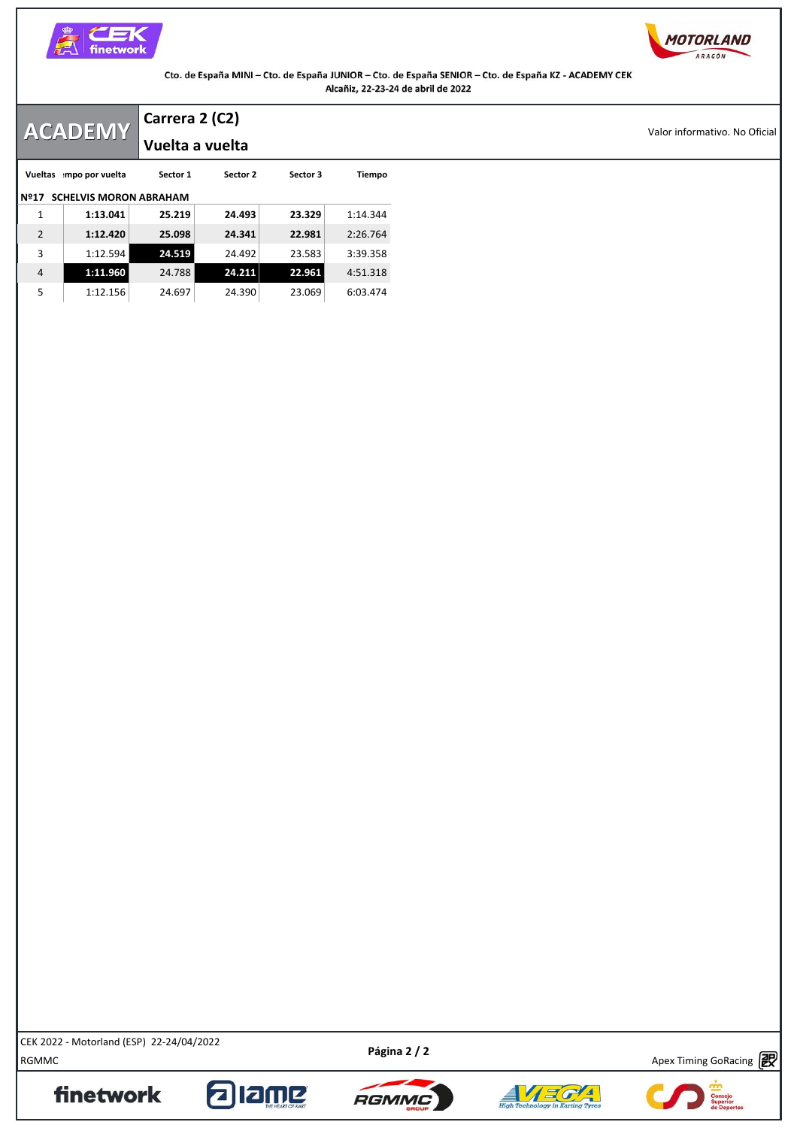



|                | <b>ACADEMY</b>                | Carrera 2 (C2)  |          |          |          |
|----------------|-------------------------------|-----------------|----------|----------|----------|
|                |                               | Vuelta a vuelta |          |          |          |
|                | Vueltas mpo por vuelta        | Sector 1        | Sector 2 | Sector 3 | Tiempo   |
| Nº17           | <b>SCHELVIS MORON ABRAHAM</b> |                 |          |          |          |
|                | 1:13.041                      | 25.219          | 24.493   | 23.329   | 1:14.344 |
| $\overline{2}$ | 1:12.420                      | 25.098          | 24.341   | 22.981   | 2:26.764 |
| 3              | 1:12.594                      | 24.519          | 24.492   | 23.583   | 3:39.358 |
| 4              | 1:11.960                      | 24.788          | 24.211   | 22.961   | 4:51.318 |
| 5              | 1:12.156                      | 24.697          | 24.390   | 23.069   | 6:03.474 |

RGMMC Apex Timing GoRacing CEK 2022 - Motorland (ESP) 22-24/04/2022

finetwork

Apex Timing - drive your success https://www.apex-timing.com/

alang